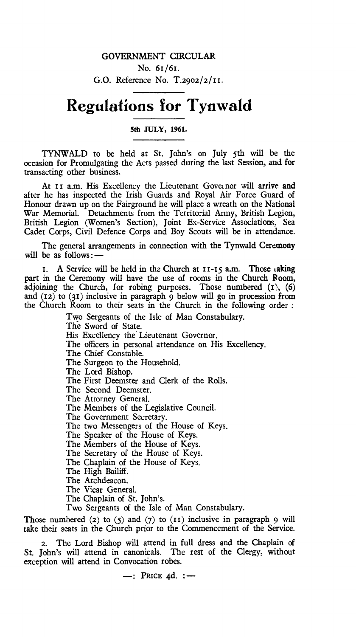## **Regulations for Tynwald**

## **5th JULY, 1961.**

TYNWALD to be held at St. John's on July 5th will be the occasion for Promulgating the Acts passed during the last Session, and for transacting other business.

At II a.m. His Excellency the Lieutenant Goveinor will arrive and after he has inspected the Irish Guards and Royal Air Force Guard of Honour drawn up on the Fairground he will place a wreath on the National War Memorial. Detachments from the Territorial Army, British Legion, British Legion (Women's Section), Joint Ex-Service Associations, Sea Cadet Corps, Civil Defence Corps and Boy Scouts will be in attendance.

The general arrangements in connection with the Tynwald Ceremony will be as follows:—

I. A Service will be held in the Church at  $I I-I5$  a.m. Those taking part in the Ceremony will have the use of rooms in the Church Room, adjoining the Church, for robing purposes. Those numbered  $(1)$ ,  $(6)$ and (12) to (31) inclusive in paragraph 9 below will go in procession from the Church Room to their seats in the Church in the following order :

> Two Sergeants of the Isle of Man Constabulary. The Sword of State. His Excellency the Lieutenant Governor. The officers in personal attendance on His Excellency. The Chief Constable. The Surgeon to the Household. The Lord Bishop. The First Deemster and Clerk of the Rolls. The Second Deemster. The Attorney General. The Members of the Legislative Council. The Government Secretary. The two Messengers of the House of Keys. The Speaker of the House of Keys. The Members of the House of Keys. The Secretary of the House of Keys. The Chaplain of the House of Keys. The High Bailiff. The Archdeacon. The Vicar General. The Chaplain of St. John's. Two Sergeants of the Isle of Man Constabulary.

Those numbered (2) to  $(5)$  and  $(7)$  to  $(11)$  inclusive in paragraph 9 will take their seats in the Church prior to the Commencement of the Service.

2. The Lord Bishop will attend in full dress and the Chaplain of St. John's will attend in canonicals. The rest of the Clergy, without exception will attend in Convocation robes.

—: **PRICE 4d. : —**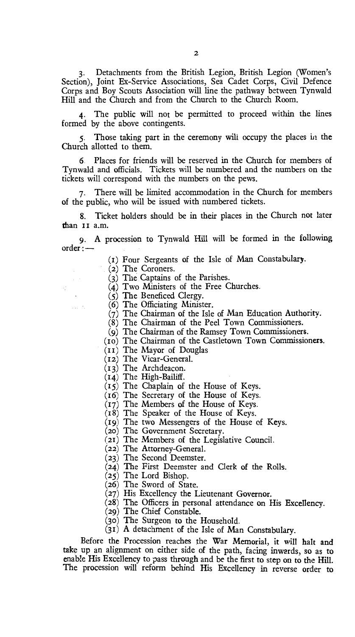3. Detachments from the British Legion, British Legion (Women's Section), Joint Ex-Service Associations, Sea Cadet Corps, Civil Defence Corps and Boy Scouts Association will line the pathway between Tynwald Hill and the Church and from the Church to the Church Room.

The public will not be permitted to proceed within the lines formed by the above contingents.

5. Those taking part in the ceremony will occupy the places in the Church allotted to them.

6. Places for friends will be reserved in the Church for members of Tynwald and officials. Tickets will be numbered and the numbers on the tickets will correspond with the numbers on the pews.

7. There will be limited accommodation in the Church for members of the public, who will be issued with numbered tickets.

8. Ticket holders should be in their places in the Church not later than II a.m.

9. A procession to Tynwald Hill will be formed in the following order :—

(t) Four Sergeants of the Isle of Man Constabulary.

(2) The Coroners.

(3) The. Captains of the Parishes.

(4) Two Ministers of the Free Churches.

 $(5)$  The Beneficed Clergy.

(6) The Officiating Minister.

- $(7)$  The Chairman of the Isle of Man Education Authority.
- (8) The Chairman of the Peel Town Commissioners.
- (9) The Chairman of the Ramsey Town Commissioners.
- (to) The Chairman of the Castletown Town Commissioners.
- $(I<sub>I</sub>)$  The Mayor of Douglas
- (12) The Vicar-General.
- (13) The Archdeacon.
- (4) The High-Bailiff.
- $(15)$  The Chaplain of the House of Keys.
- (16) The Secretary of the House of Keys.
- (17) The Members of the House of Keys.
- (r8) The Speaker of the House of Keys.
- (19) The two Messengers of the House of Keys.
	- (20) The Government Secretary.
- (2r) The Members of the Legislative Council.
- (22) The Attorney-General.
- (23) The Second Deemster.
- (24) The First Deemster and Clerk of the Rolls.
- (25) The Lord Bishop.
- (26) The Sword of State.
- (27) His Excellency the Lieutenant Governor.
- (28) The Officers in personal attendance on His Excellency.
- (29) The Chief Constable.
- (30) The Surgeon to the Household.
- (3t) A detachment of the Isle of Man Constabulary.

Before the Procession reaches the War Memorial, it will halt and take up an alignment on either side of the path, facing inwards, so as to enable His Excellency to pass through and be the first to step on to the Hill. The procession will reform behind His Excellency in reverse order to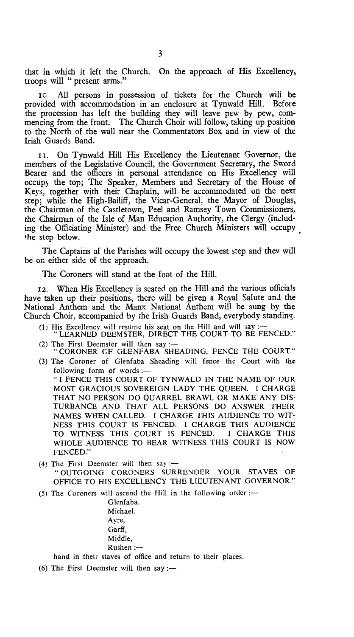that in which it left the Church. On the approach of His Excellency, troops will " present arms."

lc All persons in possession of tickets for the Church will be provided with accommodation in an enclosure at Tynwald Hill. Before the procession has left the building they will leave pew by pew, commencing from the front. The Church Choir will follow, taking up position to the North of the wall near the Commentators Box and in view of the Irish Guards Band.

t. On Tynwald Hill His Excellency the Lieutenant Governor, the members of the Legislative Council, the Government Secretary, the Sword Bearer and the officers in personal attendance on His Excellency will occupy the top; The Speaker, Members and Secretary of the House of Keys, together with their Chaplain, will be accommodated on the next step; while the High-Bailiff, the Vicar-General. the Mayor of Douglas, the Chairman of the Castletown, Peel and Ramsey Town Commissioners, the Chairman of the Isle of Man Education Authority, the Clergy (including the Officiating Minister) and the Free Church Ministers will occupy the step below.

The Captains of the Parishes will occupy the lowest step and they will be on either side of the approach.

The Coroners will stand at the foot of the Hill.

12. When His Excellency is seated on the Hill and the various officials have taken up their positions, there will be given a Royal Salute and the National Anthem and the Manx National Anthem will be sung by the Church Choir, accompanied by the Irish Guards Band, everybody standing.

- (1) His Excellency will resume his seat on the Hill and will say :-"LEARNED DEEMSTER, DIRECT THE COURT TO BE FENCED."
- (2) The First Deemster will then say :--<br>"CORONER OF GLENFABA SHEADING, FENCE THE COURT."
- (3) The Coroner of Glenfaba Sheading will fence the Court with the following form of words :—

" I FENCE THIS COURT OF TYNWALD IN THE NAME OF OUR MOST GRACIOUS SOVEREIGN LADY THE QUEEN. I CHARGE THAT NO PERSON DO QUARREL BRAWL OR MAKE ANY DIS-TURBANCE AND THAT ALL PERSONS DO ANSWER THEIR NAMES WHEN CALLED. I CHARGE THIS AUDIENCE TO WIT-NESS THIS COURT IS FENCED. I CHARGE THIS AUDIENCE TO WITNESS THIS COURT IS FENCED. I CHARGE THIS WHOLE AUDIENCE TO BEAR WITNESS THIS COURT IS NOW FENCED."

(4) The First Deemster will then say :-" OUTGOING CORONERS SURRENDER YOUR STAVES OF OFFICE TO HIS EXCELLENCY THE LIEUTENANT GOVERNOR."

(5) The Coroners will ascend the Hill in the following order :—

Glenfaba, Michael. Ayre, Garff, Middle, Rushen :-

hand in their staves of office and return to their places.

(6) The First Deemster will then say :—